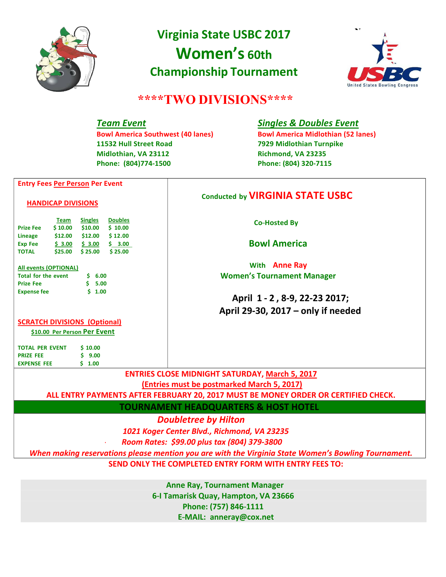

# **Virginia State USBC 2017 Women's 60th Championship Tournament**



## **\*\*\*\*TWO DIVISIONS\*\*\*\***

**11532 Hull Street Road 7929 Midlothian Turnpike Midlothian, VA 23112 Richmond, VA 23235 Phone: (804)774-1500 Phone: (804) 320-7115**

## *Team Event Singles & Doubles Event*

**Bowl America Southwest (40 lanes) Bowl America Midlothian (52 lanes)**

### **Entry Fees Per Person Per Event**

#### **HANDICAP DIVISIONS**

|                  | <b>Team</b> | <b>Singles</b> | <b>Doubles</b> |
|------------------|-------------|----------------|----------------|
| <b>Prize Fee</b> | \$10.00     | \$10.00        | \$10.00        |
| <b>Lineage</b>   | \$12.00     | \$12.00        | \$12.00        |
| <b>Exp Fee</b>   | \$3.00      | \$3.00         | 3.00<br>Ś      |
| <b>TOTAL</b>     | \$25.00     | \$25.00        | \$25.00        |

#### **All events (OPTIONAL)**

| <b>Total for the event</b> | $S$ 6.00 |
|----------------------------|----------|
| <b>Prize Fee</b>           | 5.00     |
| <b>Expense fee</b>         | 5, 1,00  |

## **Conducted by VIRGINIA STATE USBC**

**Co---Hosted By**

**Bowl America**

**With Anne Ray Women's Tournament Manager**

## **April 1 - 2 , 8-9, 22-23 2017; April 29-30, 2017 – only if needed**

## **SCRATCH DIVISIONS (Optional)**

**\$10.00 Per Person Per Event**

**TOTAL PER EVENT \$ 10.00 PRIZE FEE \$ 9.00 EXPENSE FEE \$ 1.00**

**ENTRIES CLOSE MIDNIGHT SATURDAY, March 5, 2017**

**(Entries must be postmarked March 5, 2017)**

**ALL ENTRY PAYMENTS AFTER FEBRUARY 20, 2017 MUST BE MONEY ORDER OR CERTIFIED CHECK.**

**TOURNAMENT HEADQUARTERS & HOST HOTEL**

*Doubletree by Hilton*

 *1021 Koger Center Blvd., Richmond, VA 23235* 

*- Room Rates: \$99.00 plus tax (804) 379-3800* 

*When making reservations please mention you are with the Virginia State Women's Bowling Tournament.*

**SEND ONLY THE COMPLETED ENTRY FORM WITH ENTRY FEES TO:** 

**Anne Ray, Tournament Manager 6**-I Tamarisk Quay, Hampton, VA 23666 **Phone: (757) 846-1111 E-MAIL: anneray@cox.net**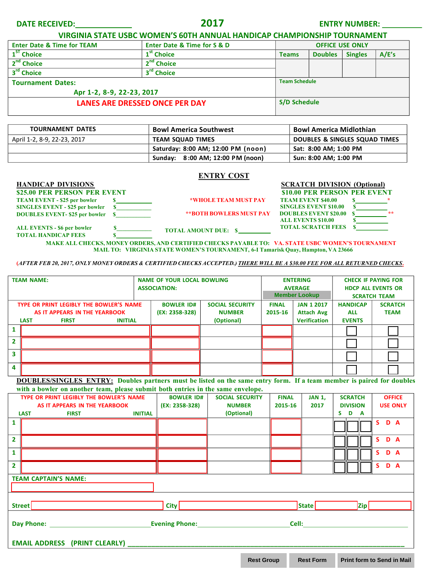| <b>DATE RECEIVED:</b> |  |
|-----------------------|--|
|-----------------------|--|

**DATE RECEIVED: 2017 ENTRY NUMBER:**

**VIRGINIA STATE USBC WOMEN'S 60TH ANNUAL HANDICAP CHAMPIONSHIP TOURNAMENT**

| <b>Enter Date &amp; Time for TEAM</b> | <b>Enter Date &amp; Time for S &amp; D</b><br><b>OFFICE USE ONLY</b> |              |                      |                |       |  |
|---------------------------------------|----------------------------------------------------------------------|--------------|----------------------|----------------|-------|--|
| 1 <sup>ST</sup> Choice                | 1 <sup>st</sup> Choice                                               | <b>Teams</b> | <b>Doubles</b>       | <b>Singles</b> | A/E's |  |
| 2 <sup>nd</sup> Choice                | 2 <sup>nd</sup> Choice                                               |              |                      |                |       |  |
| 3 <sup>rd</sup> Choice                | 3 <sup>rd</sup> Choice                                               |              |                      |                |       |  |
| <b>Tournament Dates:</b>              |                                                                      |              | <b>Team Schedule</b> |                |       |  |
| Apr 1-2, 8-9, 22-23, 2017             |                                                                      |              |                      |                |       |  |
| <b>LANES ARE DRESSED ONCE PER DAY</b> |                                                                      |              | S/D Schedule         |                |       |  |
|                                       |                                                                      |              |                      |                |       |  |

| <b>TOURNAMENT DATES</b>     | <b>Bowl America Southwest</b>      | <b>Bowl America Midlothian</b> |  |  |
|-----------------------------|------------------------------------|--------------------------------|--|--|
| April 1-2, 8-9, 22-23, 2017 | <b>TEAM SQUAD TIMES</b>            | DOUBLES & SINGLES SQUAD TIMES  |  |  |
|                             | Saturday: 8:00 AM; 12:00 PM (noon) | Sat: 8:00 AM; 1:00 PM          |  |  |
|                             | Sunday: 8:00 AM; 12:00 PM (noon)   | Sun: 8:00 AM; 1:00 PM          |  |  |

#### **ENTRY COST**

**\$25.00 PER PERSON PER EVENT**<br> **\$10.00 PER PERSON PER EVENT**<br> **\$10.00 PER PERSON PER EVENT**<br> **\$10.00 PER PERSON PER EVENT TEAM EVENT - \$25 per bowler \$ \_\_\_\_\_\_\_\_\_\_\_\_ SINGLES EVENT - \$25 per bowler \$\_\_\_\_\_\_\_\_\_\_\_\_ DOUBLES EVENT- \$25 per bowler \$\_** 

**HANDICAP DIVISIONS SCRATCH DIVISION (Optional) \*WHOLE TEAM MUST PAY TEAM EVENT \$40.00 \$ \* SINGLES EVENT \$10.00 \$ \*\*BOTH BOWLERS MUST PAY DOUBLES EVENT \$20.00 \$ ALL EVENTS \$10.00 \$ TOTAL SCRATCH FEES \$**

**\*\***

**ALL EVENTS - \$6 per bowler \$\_\_\_\_\_\_\_\_\_\_\_\_ TOTAL HANDICAP FEES** \$

**MAKE ALL CHECKS, MONEY ORDERS, AND CERTIFIED CHECKS PAYABLE TO: VA. STATE USBC WOMEN'S TOURNAMENT MAIL TO: VIRGINIA STATE WOMEN'S TOURNAMENT, 6-I Tamarisk Quay, Hampton, VA 23666**

**(***AFTER FEB 20, 2017, ONLY MONEY ORDERS & CERTIFIED CHECKS ACCEPTED.) THERE WILL BE A \$30.00 FEE FOR ALL RETURNED CHECKS***.**

**TOTAL AMOUNT DUE: \$**

| <b>TEAM NAME:</b> |                                               | <b>NAME OF YOUR LOCAL BOWLING</b> |  | <b>ENTERING</b>                        |              | <b>CHECK IF PAYING FOR</b> |                     |                |
|-------------------|-----------------------------------------------|-----------------------------------|--|----------------------------------------|--------------|----------------------------|---------------------|----------------|
|                   |                                               | <b>ASSOCIATION:</b>               |  | <b>AVERAGE</b><br><b>Member Lookup</b> |              | <b>HDCP ALL EVENTS OR</b>  |                     |                |
|                   |                                               |                                   |  |                                        |              |                            |                     |                |
|                   |                                               |                                   |  |                                        |              |                            | <b>SCRATCH TEAM</b> |                |
|                   | TYPE OR PRINT LEGIBLY THE BOWLER'S NAME       | <b>BOWLER ID#</b>                 |  | <b>SOCIAL SECURITY</b>                 | <b>FINAL</b> | <b>JAN 1 2017</b>          | <b>HANDICAP</b>     | <b>SCRATCH</b> |
|                   | AS IT APPEARS IN THE YEARBOOK                 | (EX: 2358-328)                    |  | <b>NUMBER</b>                          | 2015-16      | <b>Attach Avg</b>          | <b>ALL</b>          | <b>TEAM</b>    |
|                   | <b>LAST</b><br><b>FIRST</b><br><b>INITIAL</b> |                                   |  | (Optional)                             |              | <b>Verification</b>        | <b>EVENTS</b>       |                |
|                   |                                               |                                   |  |                                        |              |                            |                     |                |
|                   |                                               |                                   |  |                                        |              |                            |                     |                |
|                   |                                               |                                   |  |                                        |              |                            |                     |                |
|                   |                                               |                                   |  |                                        |              |                            |                     |                |
| Δ                 |                                               |                                   |  |                                        |              |                            |                     |                |

**DOUBLES/SINGLES ENTRY: Doubles partners must be listed on the same entry form. If a team member is paired for doubles with a bowler on another team, please submit both entries in the same envelope.**

| TYPE OR PRINT LEGIBLY THE BOWLER'S NAME |                                      | <b>BOWLER ID#</b>             | <b>SOCIAL SECURITY</b> | <b>FINAL</b>   | <b>JAN 1,</b> | <b>SCRATCH</b> | <b>OFFICE</b> |                 |                 |
|-----------------------------------------|--------------------------------------|-------------------------------|------------------------|----------------|---------------|----------------|---------------|-----------------|-----------------|
|                                         |                                      | AS IT APPEARS IN THE YEARBOOK |                        | (EX: 2358-328) | <b>NUMBER</b> | 2015-16        | 2017          | <b>DIVISION</b> | <b>USE ONLY</b> |
|                                         | <b>LAST</b>                          | <b>FIRST</b>                  | <b>INITIAL</b>         |                | (Optional)    |                |               | S D A           |                 |
| 1                                       |                                      |                               |                        |                |               |                |               |                 | S.<br>D A       |
| $\overline{2}$                          |                                      |                               |                        |                |               |                |               |                 | S D A           |
| $\mathbf{1}$                            |                                      |                               |                        |                |               |                |               |                 | S.<br>D A       |
| $\overline{2}$                          |                                      |                               |                        |                |               |                |               |                 | D A<br>S.       |
|                                         | <b>TEAM CAPTAIN'S NAME:</b>          |                               |                        |                |               |                |               |                 |                 |
|                                         |                                      |                               |                        |                |               |                |               |                 |                 |
|                                         | Street                               |                               |                        | City           |               |                | State         | <b>Zip</b>      |                 |
| Day Phone:<br><b>Evening Phone:</b>     |                                      |                               |                        |                | Cell:         |                |               |                 |                 |
|                                         | <b>EMAIL ADDRESS (PRINT CLEARLY)</b> |                               |                        |                |               |                |               |                 |                 |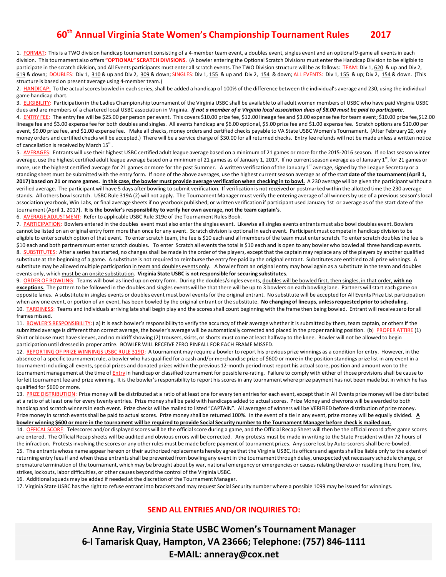## **60th Annual Virginia State Women's Championship Tournament Rules 2017**

1. FORMAT: This is a TWO division handicap tournament consisting of a 4-member team event, a doubles event, singles event and an optional 9-game all events in each division. This tournament also offers **"OPTIONAL" SCRATCH DIVISIONS**. (A bowler entering the Optional Scratch Divisions must enter the Handicap Division to be eligible to participate in the scratch division, and All Events participants must enter all scratch events. The TWO Division structure will be as follows: TEAM: Div 1, 620 & up and Div 2, 619 & down; DOUBLES: Div 1, 310 & up and Div 2, 309 & down; SINGLES: Div 1, 155 & up and Div 2, 154 & down; ALL EVENTS: Div 1, 155 & up; Div 2, 154 & down. (This structure is based on present average using 4-member team.)

2. HANDICAP: To the actual scores bowled in each series, shall be added a handicap of 100% of the difference between the individual's average and 230, using the individual game handicap chart.

3. ELIGIBILITY: Participation in the Ladies Championship tournament of the Virginia USBC shall be available to all adult women members of USBC who have paid Virginia USBC dues and are members of a chartered local USBC association in Virginia. *If not a member of a Virginia local association dues of \$8.00 must be paid to participate*. 4. ENTRY FEE: The entry fee will be \$25.00 per person per event. This covers \$10.00 prize fee, \$12.00 lineage fee and \$3.00 expense fee for team event; \$10.00 prize fee,\$12.00 lineage fee and \$3.00 expense fee for both doubles and singles. All events handicap are \$6.00 optional, \$5.00 prize fee and \$1.00 expense fee. Scratch options are \$10.00 per event, \$9.00 prize fee, and \$1.00 expense fee. Make all checks, money orders and certified checks payable to VA State USBC Women's Tournament. (After February 20, only money orders and certified checks will be accepted.) There will be a service charge of \$30.00 for all returned checks. Entry fee refunds will not be made unless a written notice of cancellation is received by March 15<sup>th</sup>.

5. AVERAGES: Entrants will use their highest USBC certified adult league average based on a minimum of 21 games or more for the 2015-2016 season. If no last season winter average, use the highest certified adult league average based on a minimum of 21 games as of January 1, 2017. If no current season average as of January 1<sup>st</sup>, for 21 games or more, use the highest certified average for 21 games or more for the past Summer. A written verification of the January 1<sup>st</sup> average, signed by the League Secretary or a standing sheet must be submitted with the entry form. If none of the above averages, use the highest current season average as of the start **date of the tournament (April 1,**  2017) based on 21 or more games. In this case, the bowler must provide average verification when checking in to bowl. A 230 average will be given the participant without a verified average. The participant will have 5 days after bowling to submit verification. If verification is not received or postmarked within the allotted time the 230 average stands. All others bowl scratch. USBC Rule 319A (2) will not apply. The Tournament Manager must verify the entering average of all winners by use of a previous season's local association yearbook, Win Labs, or final average sheets if no yearbook published; or written verification if participant used January 1st or average as of the start date of the tournament (April 1, 2017**). It is the bowler's responsibility to verify her own average, not the team captain's**.

6. AVERAGE ADJUSTMENT: Refer to applicable USBC Rule 319e of the Tournament Rules Book.

7. PARTICIPATION: Bowlers entered in the doubles event must also enter the singles event. Likewise all singles events entrants must also bowl doubles event. Bowlers cannot be listed on an original entry form more than once for any event. Scratch division is optional in each event. Participant must compete in handicap division to be eligible to enter scratch option of that event. To enter scratch team, the fee is \$10 each and all members of the team must enter scratch. To enter scratch doubles the fee is \$10 each and both partners must enter scratch doubles. To enter Scratch all events the total is \$10 each and is open to any bowler who bowled all three handicap events. 8. SUBSTITUTES: After a series has started, no changes shall be made in the order of the players, except that the captain may replace any of the players by another qualified substitute at the beginning of a game. A substitute is not required to reimburse the entry fee paid by the original entrant. Substitutes are entitled to all prize winnings. A substitute may be allowed multiple participation in team and doubles events only. A bowler from an original entry may bowl again as a substitute in the team and doubles events only, which must be an onsite substitution. **Virginia State USBC is not responsible for securing substitutes**.

9. ORDER OF BOWLING: Teams will bowl as lined up on entry form. During the doubles/singles events, doubles will be bowled first, then singles, in that order, **with no exceptions**. The pattern to be followed in the doubles and singles events will be that there will be up to 3 bowlers on each bowling lane. Partners will start each game on opposite lanes. A substitute in singles events or doubles event must bowl events for the original entrant. No substitute will be accepted for All Events Prize List participation when any one event, or portion of an event, has been bowled by the original entrant or the substitute. **No changing of lineups, unless requested prior to scheduling.** 10. TARDINESS: Teams and individuals arriving late shall begin play and the scores shall count beginning with the frame then being bowled. Entrant will receive zero for all frames missed.

11. BOWLER'S RESPONSIBILITY: (a) It is each bowler's responsibility to verify the accuracy of their average whether it is submitted by them, team captain, or others If the submitted average is different than correct average, the bowler's average will be automatically corrected and placed in the proper ranking position. (b) PROPER ATTIRE (1) Shirt or blouse must have sleeves, and no midriff showing (2) trousers, skirts, or shorts must come at least halfway to the knee. Bowler will not be allowed to begin participation until dressed in proper attire. BOWLER WILL RECEIVE ZERO PINFALL FOR EACH FRAME MISSED.

12. REPORTING OF PRIZE WINNINGS USBC RULE 319D: A tournament may require a bowler to report his previous prize winnings as a condition for entry. However, in the absence of a specific tournament rule, a bowler who has qualified for a cash and/or merchandise prize of \$600 or more in the position standings prize list in any event in a tournament including all events, special prizes and donated prizes within the previous 12-month period must report his actual score, position and amount won to the tournament management at the time of Entry in handicap or classified tournament for possible re-rating. Failure to comply with either of those provisions shall be cause to forfeit tournament fee and prize winning. It is the bowler's responsibility to report his scores in any tournament where prize payment has not been made but in which he has qualified for \$600 or more.

13. PRIZE DISTRIBUTION: Prize money will be distributed at a ratio of at least one for every ten entries for each event, except that in All Events prize money will be distributed at a ratio of at least one for every twenty entries. Prize money shall be paid with handicaps added to actual scores. Prize Money and chevrons will be awarded to both handicap and scratch winners in each event. Prize checks will be mailed to listed "CAPTAIN". All averages of winners will be VERIFIED before distribution of prize money. Prize money in scratch events shall be paid to actual scores. Prize money shall be returned 100%. In the event of a tie in any event, prize money will be equally divided. **A bowler winning \$600 or more in the tournament will be required to provide Social Security number to the Tournament Manager before check is mailed out.**

14. OFFICAL SCORE: Telescores and/or displayed scores will be the official score during a game, and the Official Recap Sheet will then be the official record after game scores are entered. The Official Recap sheets will be audited and obvious errors will be corrected. Any protests must be made in writing to the State President within 72 hours of the infraction. Protests involving the scores or any other rules must be made before payment of tournament prizes. Any score lost by Auto-scorers shall be re-bowled. 15. The entrants whose name appear hereon or their authorized replacements hereby agree that the Virginia USBC, its officers and agents shall be liable only to the extent of returning entry fees if and when these entrants shall be prevented from bowling any event in the tournament through delay, unexpected yet necessary schedule change, or premature termination of the tournament, which may be brought about by war, national emergency or emergencies or causes relating thereto or resulting there from, fire, strikes, lockouts, labor difficulties, or other causes beyond the control of the Virginia USBC.

16. Additional squads may be added if needed at the discretion of the Tournament Manager.

17. Virginia State USBC has the right to refuse entrant into brackets and may request Social Security number where a possible 1099 may be issued for winnings.

#### **SEND ALL ENTRIES AND/OR INQUIRIES TO:**

**Anne Ray, Virginia State USBC Women's Tournament Manager** 6-1 Tamarisk Quay, Hampton, VA 23666; Telephone: (757) 846-1111 **E---MAIL: anneray@cox.net**